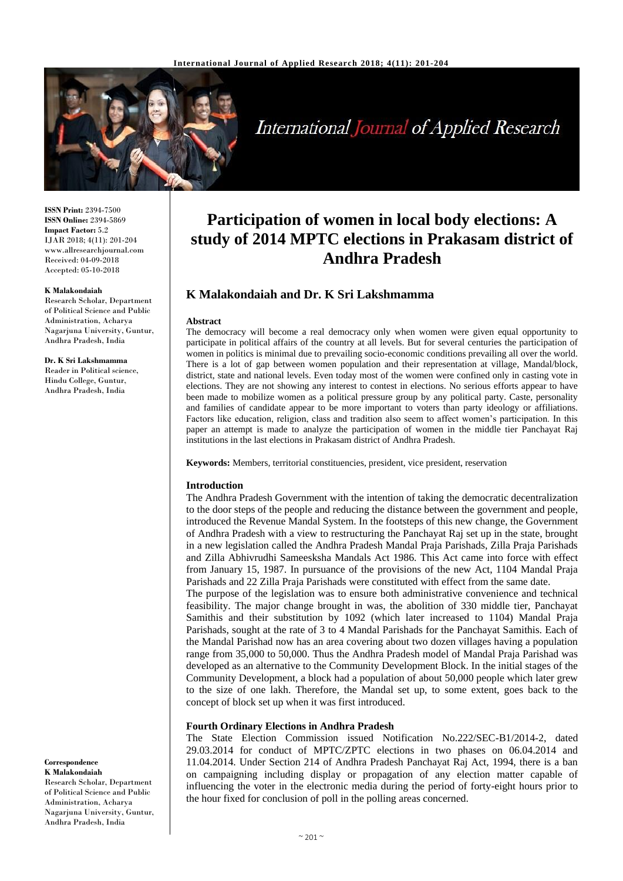

**International Journal of Applied Research** 

**ISSN Print:** 2394-7500 **ISSN Online:** 2394-5869 **Impact Factor:** 5.2 IJAR 2018; 4(11): 201-204 www.allresearchjournal.com Received: 04-09-2018 Accepted: 05-10-2018

#### **K Malakondaiah**

Research Scholar, Department of Political Science and Public Administration, Acharya Nagarjuna University, Guntur, Andhra Pradesh, India

#### **Dr. K Sri Lakshmamma**

Reader in Political science, Hindu College, Guntur, Andhra Pradesh, India

## **Correspondence K Malakondaiah** Research Scholar, Department

of Political Science and Public Administration, Acharya Nagarjuna University, Guntur, Andhra Pradesh, India

# **Participation of women in local body elections: A study of 2014 MPTC elections in Prakasam district of Andhra Pradesh**

# **K Malakondaiah and Dr. K Sri Lakshmamma**

#### **Abstract**

The democracy will become a real democracy only when women were given equal opportunity to participate in political affairs of the country at all levels. But for several centuries the participation of women in politics is minimal due to prevailing socio-economic conditions prevailing all over the world. There is a lot of gap between women population and their representation at village, Mandal/block, district, state and national levels. Even today most of the women were confined only in casting vote in elections. They are not showing any interest to contest in elections. No serious efforts appear to have been made to mobilize women as a political pressure group by any political party. Caste, personality and families of candidate appear to be more important to voters than party ideology or affiliations. Factors like education, religion, class and tradition also seem to affect women's participation. In this paper an attempt is made to analyze the participation of women in the middle tier Panchayat Raj institutions in the last elections in Prakasam district of Andhra Pradesh.

**Keywords:** Members, territorial constituencies, president, vice president, reservation

#### **Introduction**

The Andhra Pradesh Government with the intention of taking the democratic decentralization to the door steps of the people and reducing the distance between the government and people, introduced the Revenue Mandal System. In the footsteps of this new change, the Government of Andhra Pradesh with a view to restructuring the Panchayat Raj set up in the state, brought in a new legislation called the Andhra Pradesh Mandal Praja Parishads, Zilla Praja Parishads and Zilla Abhivrudhi Sameesksha Mandals Act 1986. This Act came into force with effect from January 15, 1987. In pursuance of the provisions of the new Act, 1104 Mandal Praja Parishads and 22 Zilla Praja Parishads were constituted with effect from the same date.

The purpose of the legislation was to ensure both administrative convenience and technical feasibility. The major change brought in was, the abolition of 330 middle tier, Panchayat Samithis and their substitution by 1092 (which later increased to 1104) Mandal Praja Parishads, sought at the rate of 3 to 4 Mandal Parishads for the Panchayat Samithis. Each of the Mandal Parishad now has an area covering about two dozen villages having a population range from 35,000 to 50,000. Thus the Andhra Pradesh model of Mandal Praja Parishad was developed as an alternative to the Community Development Block. In the initial stages of the Community Development, a block had a population of about 50,000 people which later grew to the size of one lakh. Therefore, the Mandal set up, to some extent, goes back to the concept of block set up when it was first introduced.

## **Fourth Ordinary Elections in Andhra Pradesh**

The State Election Commission issued Notification No.222/SEC-B1/2014-2, dated 29.03.2014 for conduct of MPTC/ZPTC elections in two phases on 06.04.2014 and 11.04.2014. Under Section 214 of Andhra Pradesh Panchayat Raj Act, 1994, there is a ban on campaigning including display or propagation of any election matter capable of influencing the voter in the electronic media during the period of forty-eight hours prior to the hour fixed for conclusion of poll in the polling areas concerned.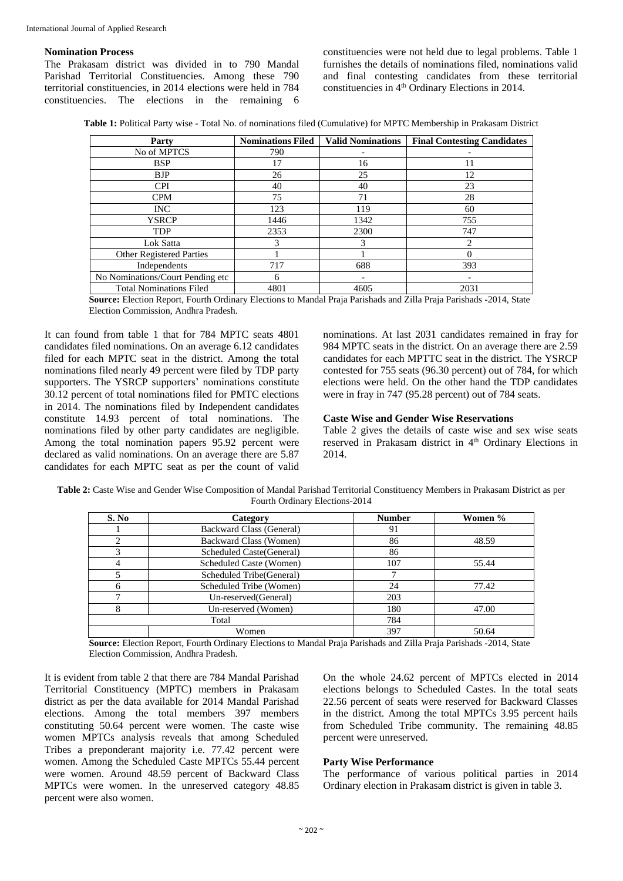#### **Nomination Process**

The Prakasam district was divided in to 790 Mandal Parishad Territorial Constituencies. Among these 790 territorial constituencies, in 2014 elections were held in 784 constituencies. The elections in the remaining 6

constituencies were not held due to legal problems. Table 1 furnishes the details of nominations filed, nominations valid and final contesting candidates from these territorial constituencies in  $4<sup>th</sup>$  Ordinary Elections in 2014.

**Table 1:** Political Party wise - Total No. of nominations filed (Cumulative) for MPTC Membership in Prakasam District

| Party                            | <b>Nominations Filed</b> | <b>Valid Nominations</b> | <b>Final Contesting Candidates</b> |
|----------------------------------|--------------------------|--------------------------|------------------------------------|
| No of MPTCS                      | 790                      |                          |                                    |
| <b>BSP</b>                       | 17                       | 16                       | 11                                 |
| <b>BJP</b>                       | 26                       | 25                       | 12                                 |
| <b>CPI</b>                       | 40                       | 40                       | 23                                 |
| <b>CPM</b>                       | 75                       | 71                       | 28                                 |
| INC.                             | 123                      | 119                      | 60                                 |
| <b>YSRCP</b>                     | 1446                     | 1342                     | 755                                |
| <b>TDP</b>                       | 2353                     | 2300                     | 747                                |
| Lok Satta                        |                          | 3                        | 2                                  |
| Other Registered Parties         |                          |                          | 0                                  |
| Independents                     | 717                      | 688                      | 393                                |
| No Nominations/Court Pending etc | 6                        |                          |                                    |
| <b>Total Nominations Filed</b>   | 4801                     | 4605                     | 2031                               |

**Source:** Election Report, Fourth Ordinary Elections to Mandal Praja Parishads and Zilla Praja Parishads -2014, State Election Commission, Andhra Pradesh.

It can found from table 1 that for 784 MPTC seats 4801 candidates filed nominations. On an average 6.12 candidates filed for each MPTC seat in the district. Among the total nominations filed nearly 49 percent were filed by TDP party supporters. The YSRCP supporters' nominations constitute 30.12 percent of total nominations filed for PMTC elections in 2014. The nominations filed by Independent candidates constitute 14.93 percent of total nominations. The nominations filed by other party candidates are negligible. Among the total nomination papers 95.92 percent were declared as valid nominations. On an average there are 5.87 candidates for each MPTC seat as per the count of valid

nominations. At last 2031 candidates remained in fray for 984 MPTC seats in the district. On an average there are 2.59 candidates for each MPTTC seat in the district. The YSRCP contested for 755 seats (96.30 percent) out of 784, for which elections were held. On the other hand the TDP candidates were in fray in 747 (95.28 percent) out of 784 seats.

## **Caste Wise and Gender Wise Reservations**

Table 2 gives the details of caste wise and sex wise seats reserved in Prakasam district in 4<sup>th</sup> Ordinary Elections in 2014.

**Table 2:** Caste Wise and Gender Wise Composition of Mandal Parishad Territorial Constituency Members in Prakasam District as per Fourth Ordinary Elections-2014

| S. No | Category                        | <b>Number</b> | Women % |
|-------|---------------------------------|---------------|---------|
|       | <b>Backward Class (General)</b> | 91            |         |
| ◠     | Backward Class (Women)          | 86            | 48.59   |
| 3     | Scheduled Caste (General)       | 86            |         |
|       | Scheduled Caste (Women)         | 107           | 55.44   |
|       | Scheduled Tribe(General)        |               |         |
| 6     | Scheduled Tribe (Women)         | 24            | 77.42   |
|       | Un-reserved (General)           |               |         |
|       | Un-reserved (Women)             | 180           | 47.00   |
|       | Total                           | 784           |         |
|       | Women                           | 397           | 50.64   |

**Source:** Election Report, Fourth Ordinary Elections to Mandal Praja Parishads and Zilla Praja Parishads -2014, State Election Commission, Andhra Pradesh.

It is evident from table 2 that there are 784 Mandal Parishad Territorial Constituency (MPTC) members in Prakasam district as per the data available for 2014 Mandal Parishad elections. Among the total members 397 members constituting 50.64 percent were women. The caste wise women MPTCs analysis reveals that among Scheduled Tribes a preponderant majority i.e. 77.42 percent were women. Among the Scheduled Caste MPTCs 55.44 percent were women. Around 48.59 percent of Backward Class MPTCs were women. In the unreserved category 48.85 percent were also women.

On the whole 24.62 percent of MPTCs elected in 2014 elections belongs to Scheduled Castes. In the total seats 22.56 percent of seats were reserved for Backward Classes in the district. Among the total MPTCs 3.95 percent hails from Scheduled Tribe community. The remaining 48.85 percent were unreserved.

### **Party Wise Performance**

The performance of various political parties in 2014 Ordinary election in Prakasam district is given in table 3.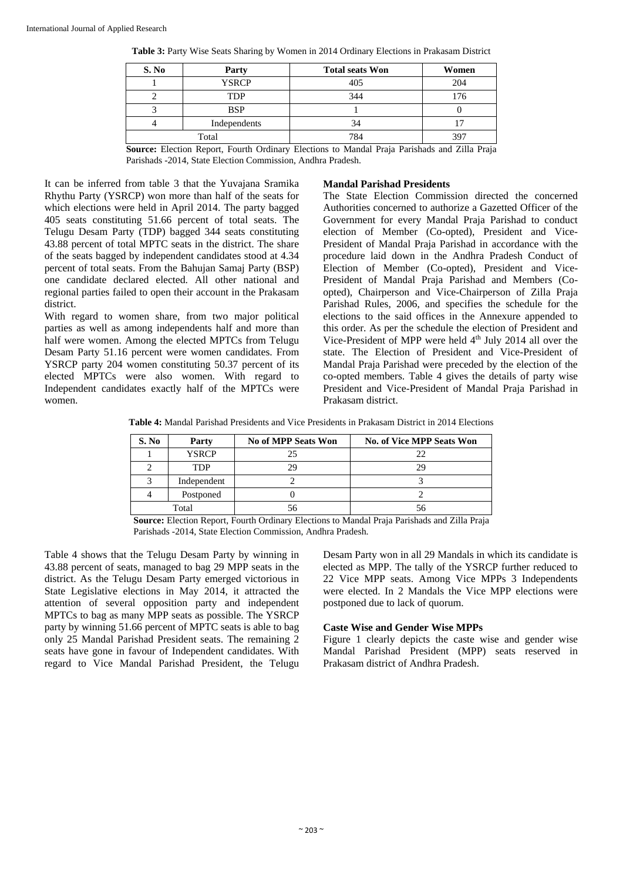| S. No | Party        | <b>Total seats Won</b> | Women |
|-------|--------------|------------------------|-------|
|       | <b>YSRCP</b> | 405                    | 204   |
|       | TDP          | 344                    | 176   |
|       | <b>BSP</b>   |                        |       |
|       | Independents | 34                     |       |
|       | Total        | 784                    | 397   |

**Table 3:** Party Wise Seats Sharing by Women in 2014 Ordinary Elections in Prakasam District

**Source:** Election Report, Fourth Ordinary Elections to Mandal Praja Parishads and Zilla Praja Parishads -2014, State Election Commission, Andhra Pradesh.

It can be inferred from table 3 that the Yuvajana Sramika Rhythu Party (YSRCP) won more than half of the seats for which elections were held in April 2014. The party bagged 405 seats constituting 51.66 percent of total seats. The Telugu Desam Party (TDP) bagged 344 seats constituting 43.88 percent of total MPTC seats in the district. The share of the seats bagged by independent candidates stood at 4.34 percent of total seats. From the Bahujan Samaj Party (BSP) one candidate declared elected. All other national and regional parties failed to open their account in the Prakasam district.

With regard to women share, from two major political parties as well as among independents half and more than half were women. Among the elected MPTCs from Telugu Desam Party 51.16 percent were women candidates. From YSRCP party 204 women constituting 50.37 percent of its elected MPTCs were also women. With regard to Independent candidates exactly half of the MPTCs were women.

## **Mandal Parishad Presidents**

The State Election Commission directed the concerned Authorities concerned to authorize a Gazetted Officer of the Government for every Mandal Praja Parishad to conduct election of Member (Co-opted), President and Vice-President of Mandal Praja Parishad in accordance with the procedure laid down in the Andhra Pradesh Conduct of Election of Member (Co-opted), President and Vice-President of Mandal Praja Parishad and Members (Coopted), Chairperson and Vice-Chairperson of Zilla Praja Parishad Rules, 2006, and specifies the schedule for the elections to the said offices in the Annexure appended to this order. As per the schedule the election of President and Vice-President of MPP were held  $4<sup>th</sup>$  July 2014 all over the state. The Election of President and Vice-President of Mandal Praja Parishad were preceded by the election of the co-opted members. Table 4 gives the details of party wise President and Vice-President of Mandal Praja Parishad in Prakasam district.

**Table 4:** Mandal Parishad Presidents and Vice Presidents in Prakasam District in 2014 Elections

| S. No | Party        | No of MPP Seats Won | <b>No. of Vice MPP Seats Won</b> |
|-------|--------------|---------------------|----------------------------------|
|       | <b>YSRCP</b> | つく                  | つつ                               |
|       | <b>TDP</b>   |                     | σq                               |
|       | Independent  |                     |                                  |
|       | Postponed    |                     |                                  |
|       | Total        |                     |                                  |

**Source:** Election Report, Fourth Ordinary Elections to Mandal Praja Parishads and Zilla Praja Parishads -2014, State Election Commission, Andhra Pradesh.

Table 4 shows that the Telugu Desam Party by winning in 43.88 percent of seats, managed to bag 29 MPP seats in the district. As the Telugu Desam Party emerged victorious in State Legislative elections in May 2014, it attracted the attention of several opposition party and independent MPTCs to bag as many MPP seats as possible. The YSRCP party by winning 51.66 percent of MPTC seats is able to bag only 25 Mandal Parishad President seats. The remaining 2 seats have gone in favour of Independent candidates. With regard to Vice Mandal Parishad President, the Telugu

Desam Party won in all 29 Mandals in which its candidate is elected as MPP. The tally of the YSRCP further reduced to 22 Vice MPP seats. Among Vice MPPs 3 Independents were elected. In 2 Mandals the Vice MPP elections were postponed due to lack of quorum.

# **Caste Wise and Gender Wise MPPs**

Figure 1 clearly depicts the caste wise and gender wise Mandal Parishad President (MPP) seats reserved in Prakasam district of Andhra Pradesh.